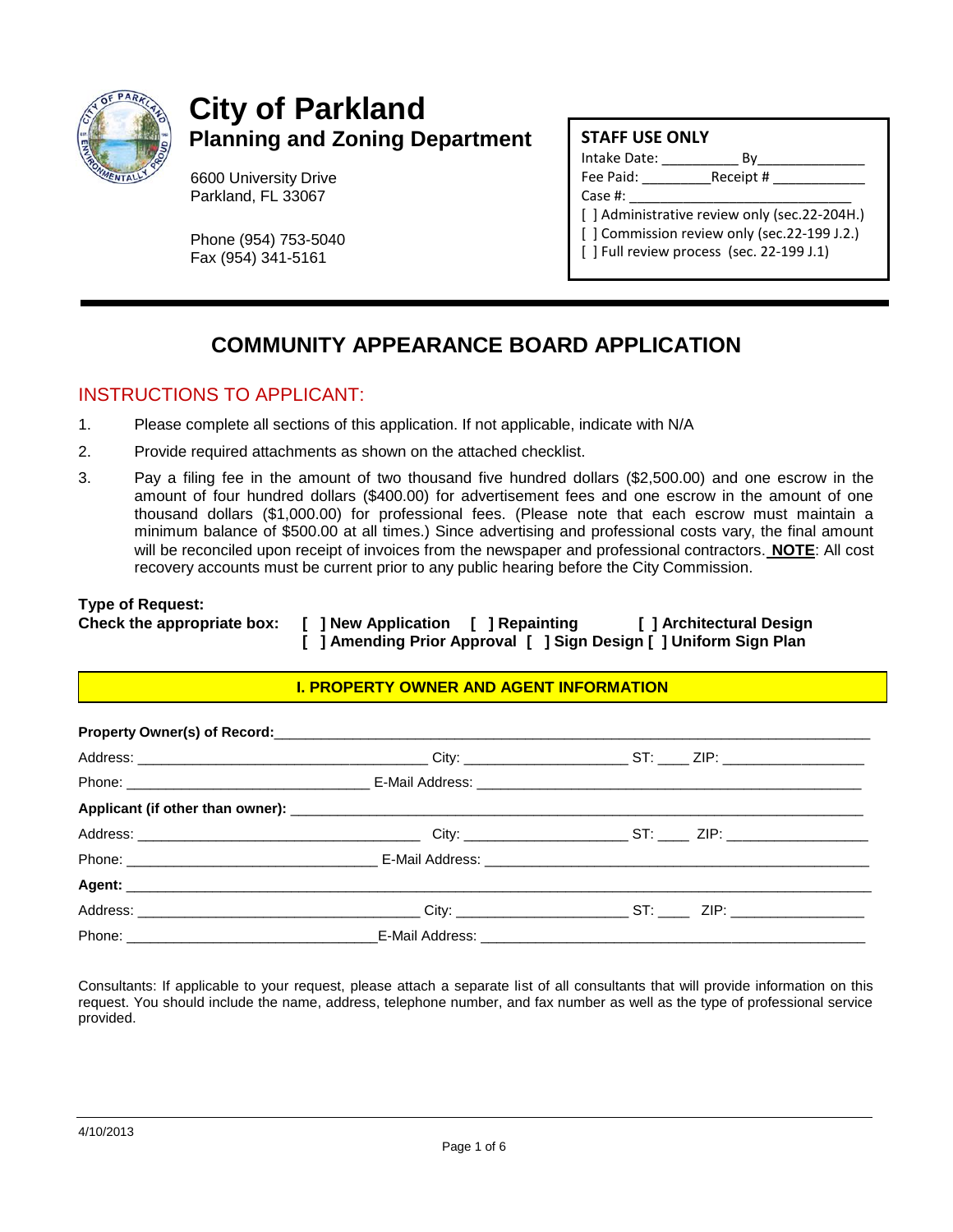

# **City of Parkland Planning and Zoning Department**

6600 University Drive Parkland, FL 33067

Phone (954) 753-5040 Fax (954) 341-5161

### **STAFF USE ONLY**

| Intake Date: | Вv                                               |
|--------------|--------------------------------------------------|
| Fee Paid:    | Receipt #                                        |
| Case $#$ :   |                                                  |
|              | [ ] Administrative review only (sec.22-204H.)    |
|              | [ ] Commission review only (sec.22-199 J.2.)     |
|              | $\lceil$   Full review process (sec. 22-199 J.1) |
|              |                                                  |

## **COMMUNITY APPEARANCE BOARD APPLICATION**

## INSTRUCTIONS TO APPLICANT:

- 1. Please complete all sections of this application. If not applicable, indicate with N/A
- 2. Provide required attachments as shown on the attached checklist.
- 3. Pay a filing fee in the amount of two thousand five hundred dollars (\$2,500.00) and one escrow in the amount of four hundred dollars (\$400.00) for advertisement fees and one escrow in the amount of one thousand dollars (\$1,000.00) for professional fees. (Please note that each escrow must maintain a minimum balance of \$500.00 at all times.) Since advertising and professional costs vary, the final amount will be reconciled upon receipt of invoices from the newspaper and professional contractors. **NOTE**: All cost recovery accounts must be current prior to any public hearing before the City Commission.

#### **Type of Request:**

**Check the appropriate box: [ ] New Application [ ] Repainting [ ] Architectural Design [ ] Amending Prior Approval [ ] Sign Design [ ] Uniform Sign Plan**

#### **I. PROPERTY OWNER AND AGENT INFORMATION**

Consultants: If applicable to your request, please attach a separate list of all consultants that will provide information on this request. You should include the name, address, telephone number, and fax number as well as the type of professional service provided.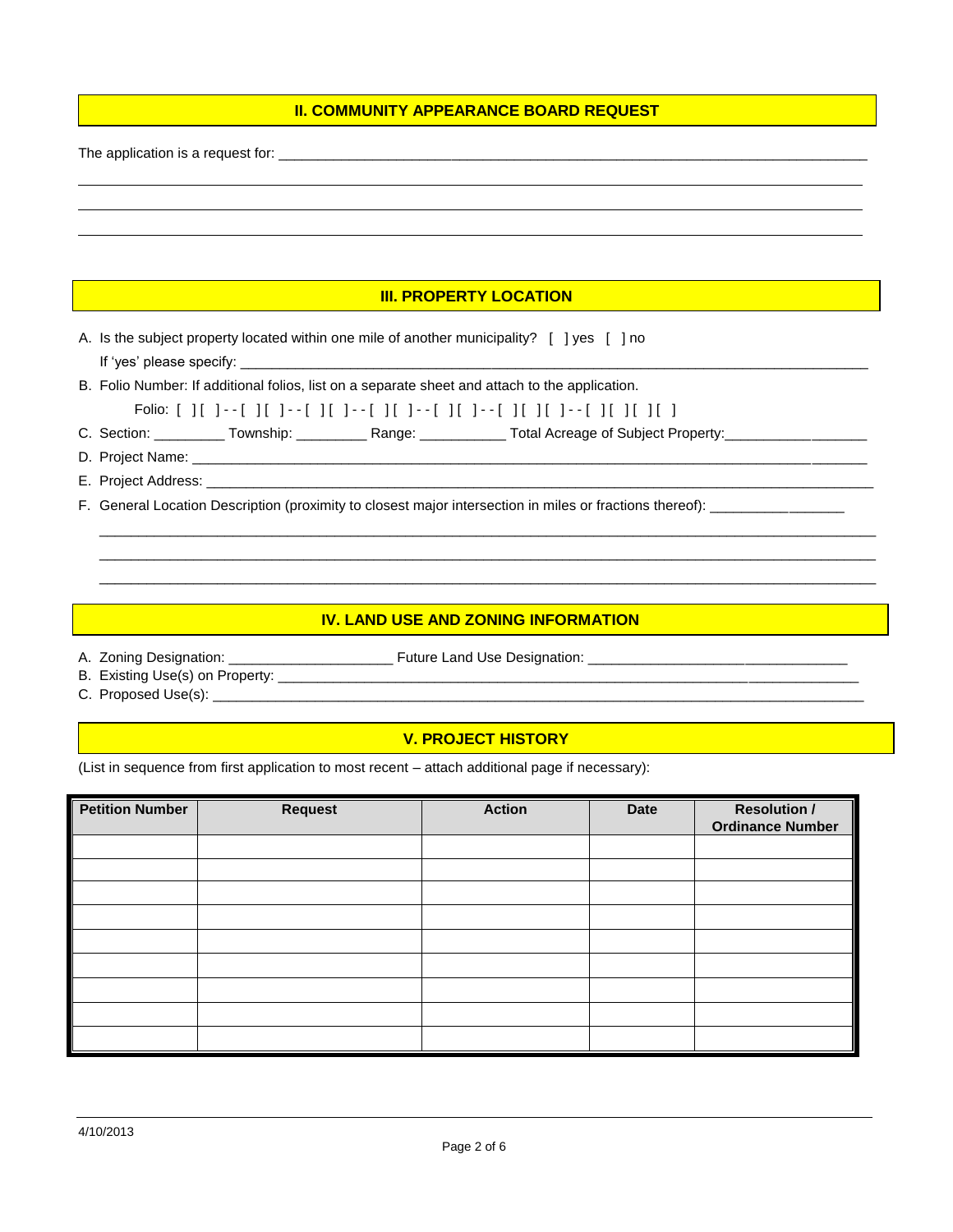#### **II. COMMUNITY APPEARANCE BOARD REQUEST**

The application is a request for: \_\_\_\_\_\_\_\_\_\_\_\_\_\_\_\_\_\_\_\_\_\_\_\_\_\_\_\_\_\_\_\_\_\_\_\_\_\_\_\_\_\_\_\_\_\_\_\_\_\_\_\_\_\_\_\_\_\_\_\_\_\_\_\_\_\_\_\_\_\_\_\_\_\_\_

#### **III. PROPERTY LOCATION**

- A. Is the subject property located within one mile of another municipality? [ ] yes [ ] no If 'yes' please specify:
- B. Folio Number: If additional folios, list on a separate sheet and attach to the application.
	- Folio: [ ] [ ] - [ ] [ ] - [ ] [ ] - [ ] [ ] - [ ] [ ] - [ ] [ ] [ ] - [ ] [ ] [ ] [ ]
- C. Section: \_\_\_\_\_\_\_\_\_\_ Township: \_\_\_\_\_\_\_\_\_\_\_ Range: \_\_\_\_\_\_\_\_\_\_\_\_ Total Acreage of Subject Property: \_\_\_\_\_\_\_\_\_\_\_\_\_\_\_\_
- D. Project Name: \_\_\_\_\_\_\_\_\_\_\_\_\_\_\_\_\_\_\_\_\_\_\_\_\_\_\_\_\_\_\_\_\_\_\_\_\_\_\_\_\_\_\_\_\_\_\_\_\_\_\_\_\_\_\_\_\_\_\_\_\_\_\_\_\_\_\_\_\_\_\_\_\_\_\_\_\_\_\_\_\_\_\_\_\_\_
- E. Project Address: \_\_\_
- F. General Location Description (proximity to closest major intersection in miles or fractions thereof): \_\_\_\_\_\_\_\_\_\_

#### **IV. LAND USE AND ZONING INFORMATION**

\_\_\_\_\_\_\_\_\_\_\_\_\_\_\_\_\_\_\_\_\_\_\_\_\_\_\_\_\_\_\_\_\_\_\_\_\_\_\_\_\_\_\_\_\_\_\_\_\_\_\_\_\_\_\_\_\_\_\_\_\_\_\_\_\_\_\_\_\_\_\_\_\_\_\_\_\_\_\_\_\_\_\_\_\_\_\_\_\_\_\_\_\_\_\_\_\_\_\_ \_\_\_\_\_\_\_\_\_\_\_\_\_\_\_\_\_\_\_\_\_\_\_\_\_\_\_\_\_\_\_\_\_\_\_\_\_\_\_\_\_\_\_\_\_\_\_\_\_\_\_\_\_\_\_\_\_\_\_\_\_\_\_\_\_\_\_\_\_\_\_\_\_\_\_\_\_\_\_\_\_\_\_\_\_\_\_\_\_\_\_\_\_\_\_\_\_\_\_ \_\_\_\_\_\_\_\_\_\_\_\_\_\_\_\_\_\_\_\_\_\_\_\_\_\_\_\_\_\_\_\_\_\_\_\_\_\_\_\_\_\_\_\_\_\_\_\_\_\_\_\_\_\_\_\_\_\_\_\_\_\_\_\_\_\_\_\_\_\_\_\_\_\_\_\_\_\_\_\_\_\_\_\_\_\_\_\_\_\_\_\_\_\_\_\_\_\_\_

- 
- A. Zoning Designation: \_\_\_\_\_\_\_\_\_\_\_\_\_\_\_\_\_\_\_\_\_ Future Land Use Designation: \_\_\_\_\_\_\_\_\_\_\_\_\_\_\_\_\_\_\_\_\_\_\_\_\_\_\_\_\_\_\_\_\_
- B. Existing Use(s) on Property: \_\_\_\_\_\_\_\_\_\_\_\_\_\_\_\_\_\_\_\_\_\_\_\_\_\_\_\_\_\_\_\_\_\_\_\_\_\_\_\_\_\_\_\_\_\_\_\_\_\_\_\_\_\_\_\_\_\_\_\_\_\_\_\_\_\_\_\_\_\_\_\_\_\_
- C. Proposed Use(s): \_\_\_\_\_\_\_\_\_\_\_\_\_\_\_\_\_\_\_\_\_\_\_\_\_\_\_\_\_\_\_\_\_\_\_\_\_\_\_\_\_\_\_\_\_\_\_\_\_\_\_\_\_\_\_\_\_\_\_\_\_\_\_\_\_\_\_\_\_\_\_\_\_\_\_\_\_\_\_\_\_\_\_

#### **V. PROJECT HISTORY**

(List in sequence from first application to most recent – attach additional page if necessary):

| <b>Petition Number</b> | <b>Request</b> | <b>Action</b> | Date | <b>Resolution /</b><br><b>Ordinance Number</b> |
|------------------------|----------------|---------------|------|------------------------------------------------|
|                        |                |               |      |                                                |
|                        |                |               |      |                                                |
|                        |                |               |      |                                                |
|                        |                |               |      |                                                |
|                        |                |               |      |                                                |
|                        |                |               |      |                                                |
|                        |                |               |      |                                                |
|                        |                |               |      |                                                |
|                        |                |               |      |                                                |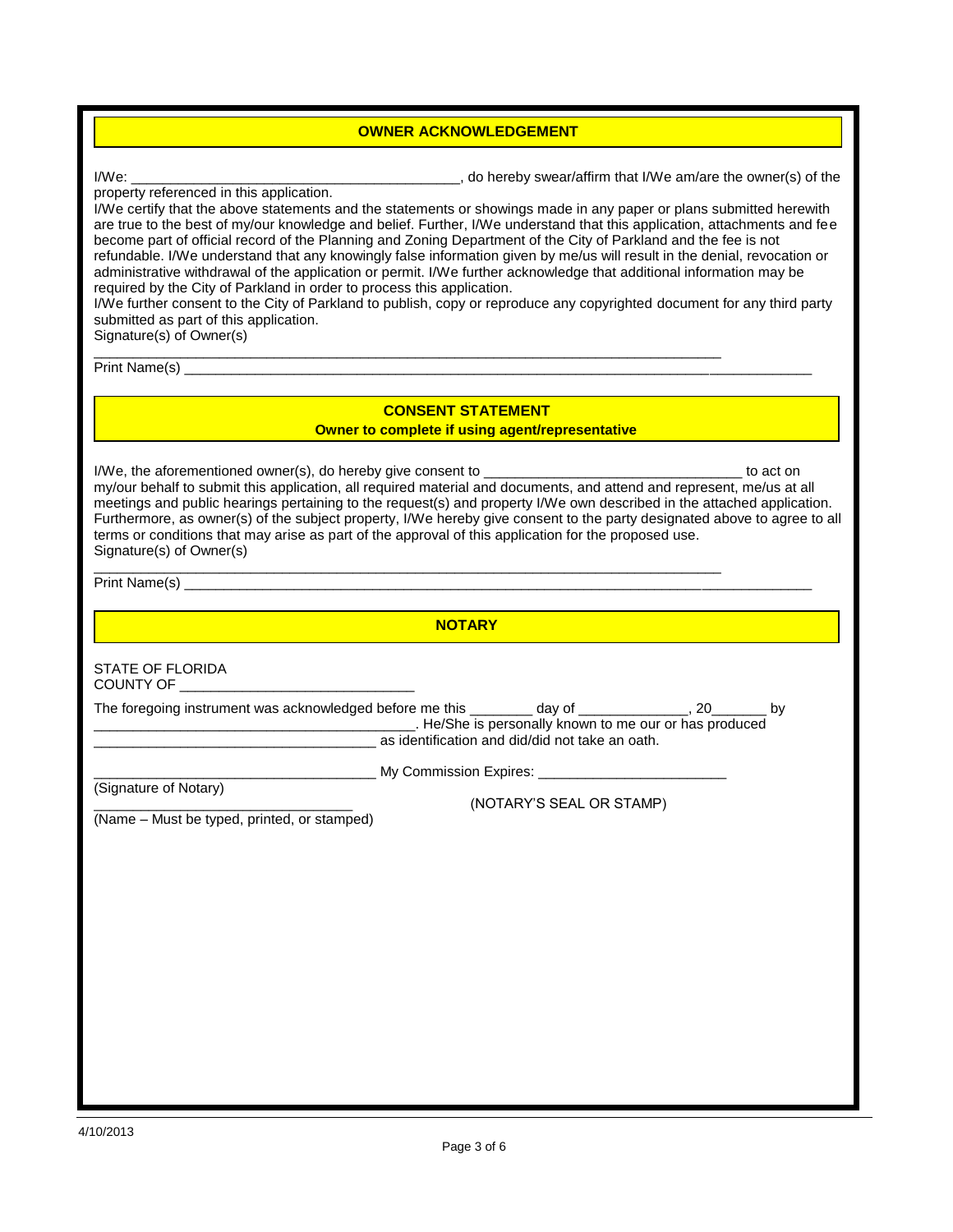#### **OWNER ACKNOWLEDGEMENT**

I/We:  $\blacksquare$  and  $\blacksquare$  are the owner(s) of the owner(s) of the owner(s) of the owner(s) of the owner(s) of the owner(s) of the owner(s) of the owner(s) of the owner(s) of the owner(s) of the owner(s) of the owner(s) of th

property referenced in this application.

I/We certify that the above statements and the statements or showings made in any paper or plans submitted herewith are true to the best of my/our knowledge and belief. Further, I/We understand that this application, attachments and fee become part of official record of the Planning and Zoning Department of the City of Parkland and the fee is not refundable. I/We understand that any knowingly false information given by me/us will result in the denial, revocation or administrative withdrawal of the application or permit. I/We further acknowledge that additional information may be required by the City of Parkland in order to process this application.

I/We further consent to the City of Parkland to publish, copy or reproduce any copyrighted document for any third party submitted as part of this application.

Signature(s) of Owner(s) \_\_\_\_\_\_\_\_\_\_\_\_\_\_\_\_\_\_\_\_\_\_\_\_\_\_\_\_\_\_\_\_\_\_\_\_\_\_\_\_\_\_\_\_\_\_\_\_\_\_\_\_\_\_\_\_\_\_\_\_\_\_\_\_\_\_\_\_\_\_\_\_\_\_\_\_\_\_\_\_

Print Name(s) \_\_\_\_\_\_\_\_\_\_\_\_\_\_\_\_\_\_\_\_\_\_\_\_\_\_\_\_\_\_\_\_\_\_\_\_\_\_\_\_\_\_\_\_\_\_\_\_\_\_\_\_\_\_\_\_\_\_\_\_\_\_\_\_\_\_\_\_\_\_\_\_\_\_\_\_\_\_\_\_

#### **CONSENT STATEMENT**

**CONSENT STATEMENT**<br>Owner to complete if using agent/representati **Owner to complete if using agent/representative**

I/We, the aforementioned owner(s), do hereby give consent to \_\_\_\_\_\_\_\_\_\_\_\_\_\_\_\_\_\_\_\_\_\_\_\_\_\_\_\_\_\_\_\_\_ to act on my/our behalf to submit this application, all required material and documents, and attend and represent, me/us at all meetings and public hearings pertaining to the request(s) and property I/We own described in the attached application. Furthermore, as owner(s) of the subject property, I/We hereby give consent to the party designated above to agree to all terms or conditions that may arise as part of the approval of this application for the proposed use. Signature(s) of Owner(s)

\_\_\_\_\_\_\_\_\_\_\_\_\_\_\_\_\_\_\_\_\_\_\_\_\_\_\_\_\_\_\_\_\_\_\_\_\_\_\_\_\_\_\_\_\_\_\_\_\_\_\_\_\_\_\_\_\_\_\_\_\_\_\_\_\_\_\_\_\_\_\_\_\_\_\_\_\_\_\_\_ Print Name(s)

**NOTARY**

STATE OF FLORIDA COUNTY OF

| The foregoing instrument was acknowledged before me this | dav of                                                 |  |
|----------------------------------------------------------|--------------------------------------------------------|--|
|                                                          | . He/She is personally known to me our or has produced |  |
|                                                          | as identification and did/did not take an oath.        |  |

(Signature of Notary)

**My Commission Expires:** 

\_\_\_\_\_\_\_\_\_\_\_\_\_\_\_\_\_\_\_\_\_\_\_\_\_\_\_\_\_\_\_\_\_ (NOTARY'S SEAL OR STAMP)

(Name – Must be typed, printed, or stamped)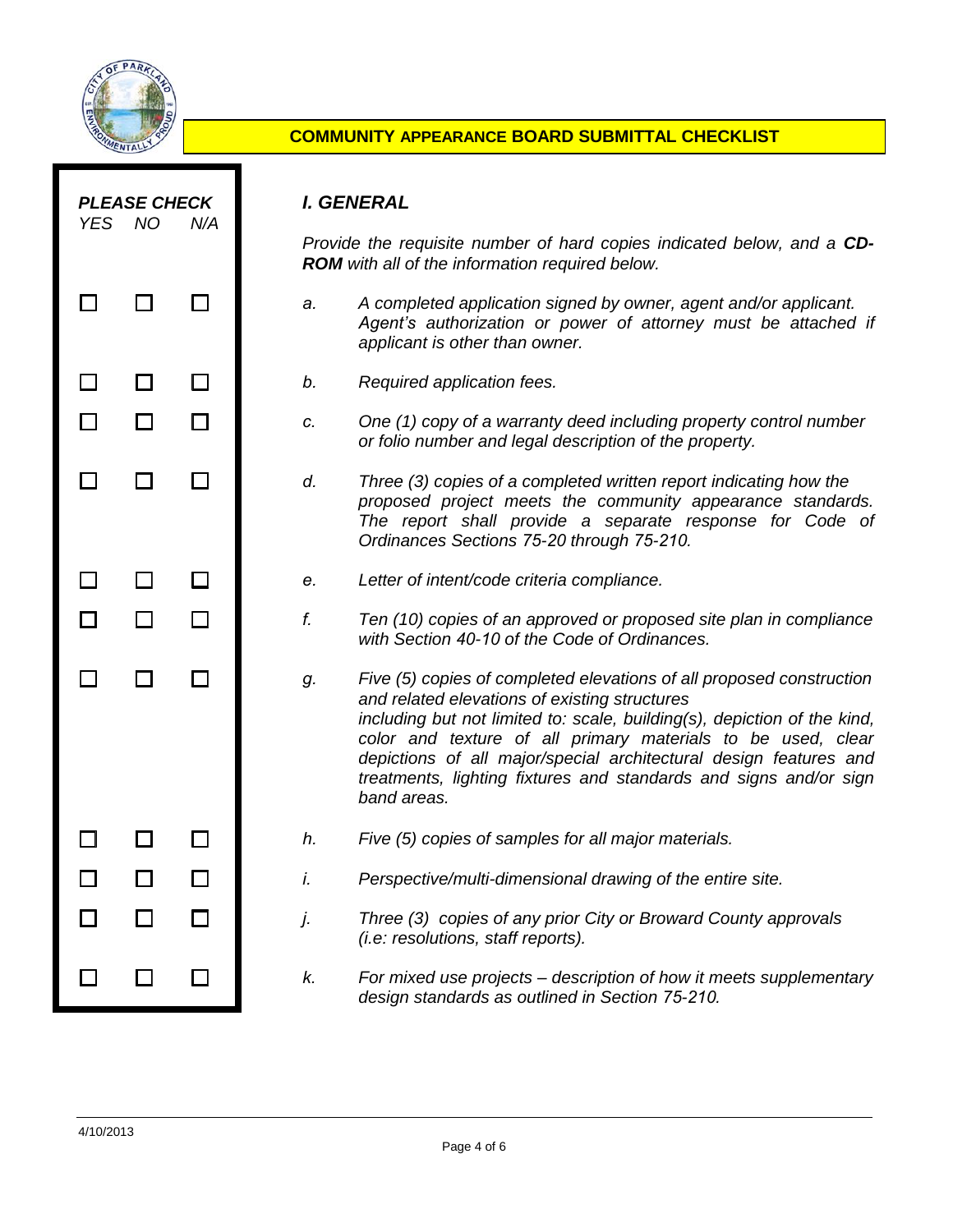

## **COMMUNITY APPEARANCE BOARD SUBMITTAL CHECKLIST**

| <b>YES</b> | <b>PLEASE CHECK</b><br><b>NO</b> | N/A |    | I. GENERAL                                                                                                                                                                                                                                                                                                                                                                                                                 |
|------------|----------------------------------|-----|----|----------------------------------------------------------------------------------------------------------------------------------------------------------------------------------------------------------------------------------------------------------------------------------------------------------------------------------------------------------------------------------------------------------------------------|
|            |                                  |     |    | Provide the requisite number of hard copies indicated below, and a CD-<br><b>ROM</b> with all of the information required below.                                                                                                                                                                                                                                                                                           |
|            |                                  |     | a. | A completed application signed by owner, agent and/or applicant.<br>Agent's authorization or power of attorney must be attached if<br>applicant is other than owner.                                                                                                                                                                                                                                                       |
|            |                                  |     | b. | Required application fees.                                                                                                                                                                                                                                                                                                                                                                                                 |
|            |                                  |     | C. | One (1) copy of a warranty deed including property control number<br>or folio number and legal description of the property.                                                                                                                                                                                                                                                                                                |
|            |                                  |     | d. | Three (3) copies of a completed written report indicating how the<br>proposed project meets the community appearance standards.<br>The report shall provide a separate response for Code of<br>Ordinances Sections 75-20 through 75-210.                                                                                                                                                                                   |
|            |                                  |     | е. | Letter of intent/code criteria compliance.                                                                                                                                                                                                                                                                                                                                                                                 |
|            |                                  |     | f. | Ten (10) copies of an approved or proposed site plan in compliance<br>with Section 40-10 of the Code of Ordinances.                                                                                                                                                                                                                                                                                                        |
|            |                                  |     | g. | Five (5) copies of completed elevations of all proposed construction<br>and related elevations of existing structures<br>including but not limited to: scale, building(s), depiction of the kind,<br>color and texture of all primary materials to be used, clear<br>depictions of all major/special architectural design features and<br>treatments, lighting fixtures and standards and signs and/or sign<br>band areas. |
|            |                                  |     | h. | Five (5) copies of samples for all major materials.                                                                                                                                                                                                                                                                                                                                                                        |
|            |                                  |     | I. | Perspective/multi-dimensional drawing of the entire site.                                                                                                                                                                                                                                                                                                                                                                  |
|            |                                  |     | j. | Three (3) copies of any prior City or Broward County approvals<br><i>(i.e: resolutions, staff reports).</i>                                                                                                                                                                                                                                                                                                                |
|            |                                  |     | k. | For mixed use projects – description of how it meets supplementary<br>design standards as outlined in Section 75-210.                                                                                                                                                                                                                                                                                                      |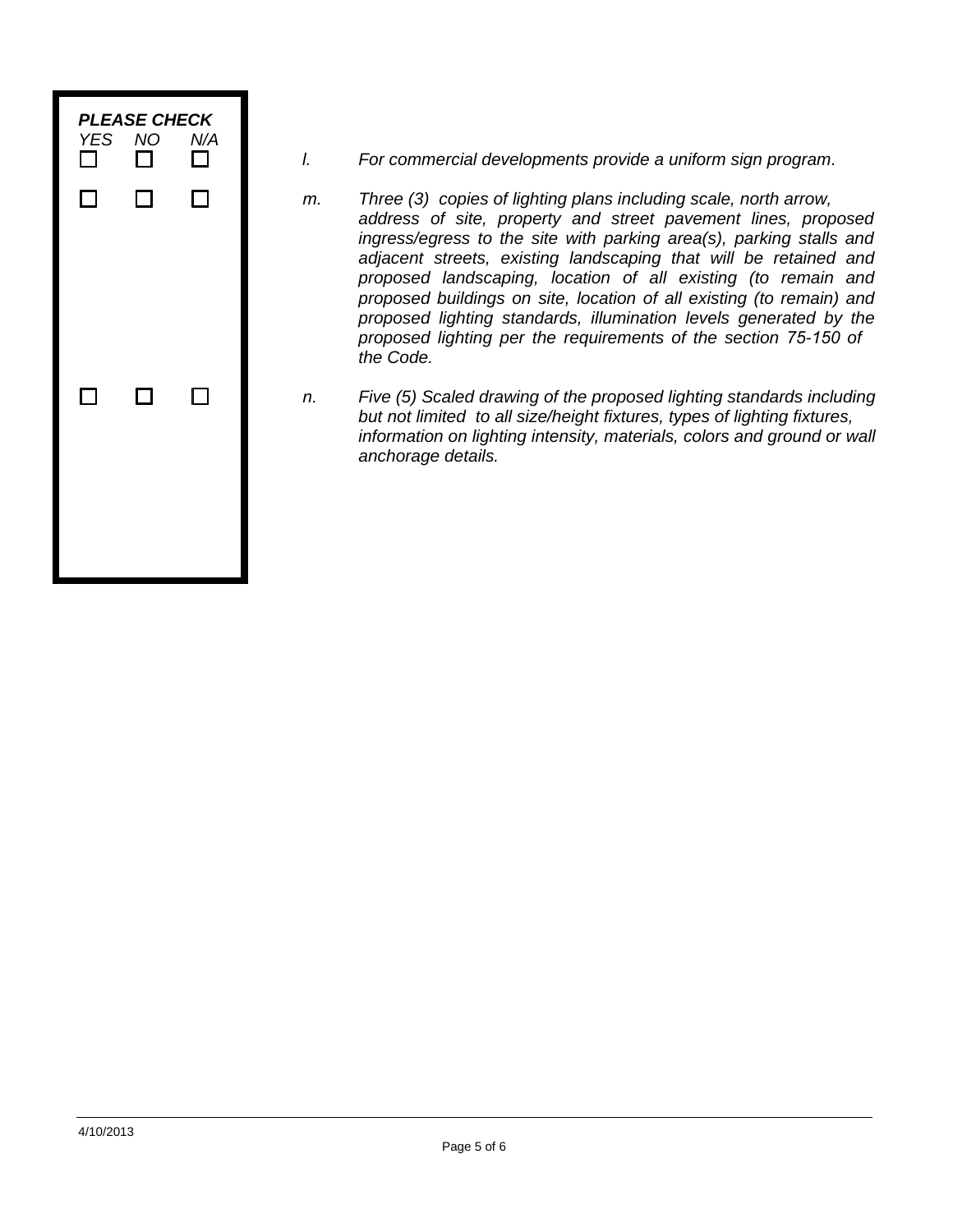

- *l. For commercial developments provide a uniform sign program.*
- *m. Three (3) copies of lighting plans including scale, north arrow, address of site, property and street pavement lines, proposed ingress/egress to the site with parking area(s), parking stalls and adjacent streets, existing landscaping that will be retained and proposed landscaping, location of all existing (to remain and proposed buildings on site, location of all existing (to remain) and proposed lighting standards, illumination levels generated by the proposed lighting per the requirements of the section 75-150 of the Code.*
- *n. Five (5) Scaled drawing of the proposed lighting standards including but not limited to all size/height fixtures, types of lighting fixtures, information on lighting intensity, materials, colors and ground or wall anchorage details.*